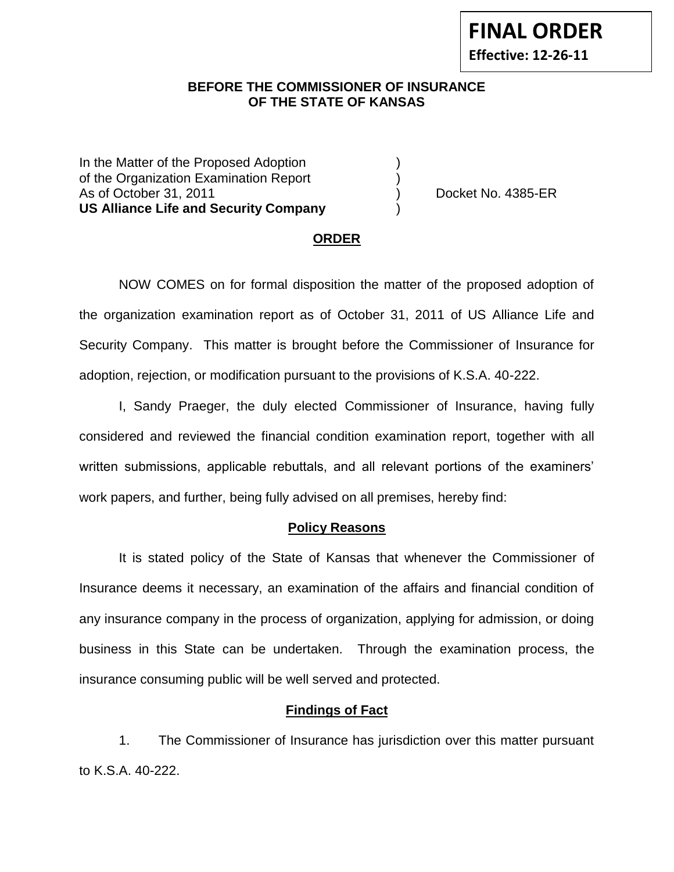**Effective: 12-26-11**

## **BEFORE THE COMMISSIONER OF INSURANCE OF THE STATE OF KANSAS**

In the Matter of the Proposed Adoption of the Organization Examination Report ) As of October 31, 2011 (and the contract of the Docket No. 4385-ER **US Alliance Life and Security Company** )

### **ORDER**

NOW COMES on for formal disposition the matter of the proposed adoption of the organization examination report as of October 31, 2011 of US Alliance Life and Security Company. This matter is brought before the Commissioner of Insurance for adoption, rejection, or modification pursuant to the provisions of K.S.A. 40-222.

I, Sandy Praeger, the duly elected Commissioner of Insurance, having fully considered and reviewed the financial condition examination report, together with all written submissions, applicable rebuttals, and all relevant portions of the examiners' work papers, and further, being fully advised on all premises, hereby find:

#### **Policy Reasons**

It is stated policy of the State of Kansas that whenever the Commissioner of Insurance deems it necessary, an examination of the affairs and financial condition of any insurance company in the process of organization, applying for admission, or doing business in this State can be undertaken. Through the examination process, the insurance consuming public will be well served and protected.

### **Findings of Fact**

1. The Commissioner of Insurance has jurisdiction over this matter pursuant to K.S.A. 40-222.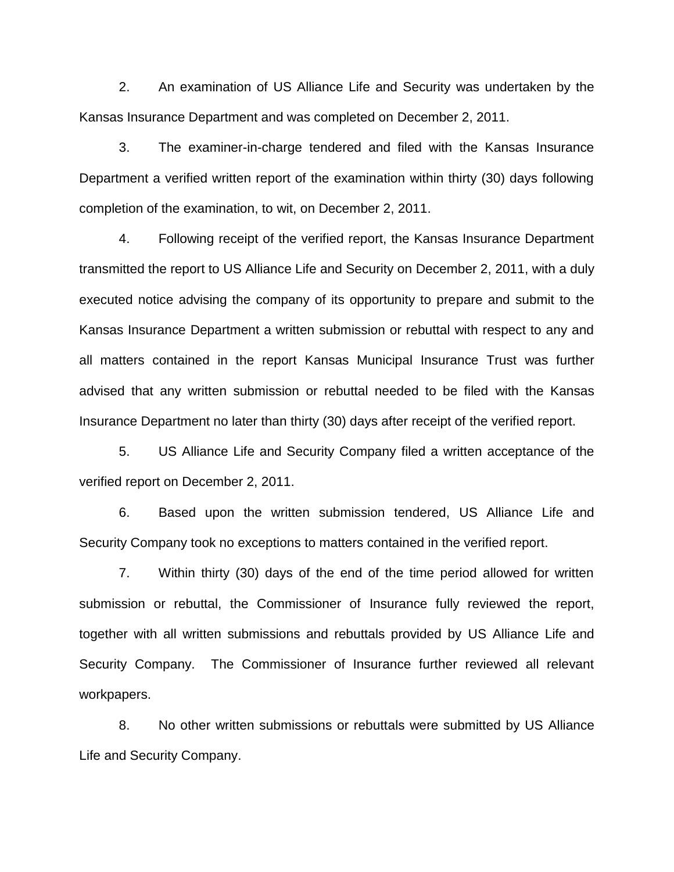2. An examination of US Alliance Life and Security was undertaken by the Kansas Insurance Department and was completed on December 2, 2011.

3. The examiner-in-charge tendered and filed with the Kansas Insurance Department a verified written report of the examination within thirty (30) days following completion of the examination, to wit, on December 2, 2011.

4. Following receipt of the verified report, the Kansas Insurance Department transmitted the report to US Alliance Life and Security on December 2, 2011, with a duly executed notice advising the company of its opportunity to prepare and submit to the Kansas Insurance Department a written submission or rebuttal with respect to any and all matters contained in the report Kansas Municipal Insurance Trust was further advised that any written submission or rebuttal needed to be filed with the Kansas Insurance Department no later than thirty (30) days after receipt of the verified report.

5. US Alliance Life and Security Company filed a written acceptance of the verified report on December 2, 2011.

6. Based upon the written submission tendered, US Alliance Life and Security Company took no exceptions to matters contained in the verified report.

7. Within thirty (30) days of the end of the time period allowed for written submission or rebuttal, the Commissioner of Insurance fully reviewed the report, together with all written submissions and rebuttals provided by US Alliance Life and Security Company. The Commissioner of Insurance further reviewed all relevant workpapers.

8. No other written submissions or rebuttals were submitted by US Alliance Life and Security Company.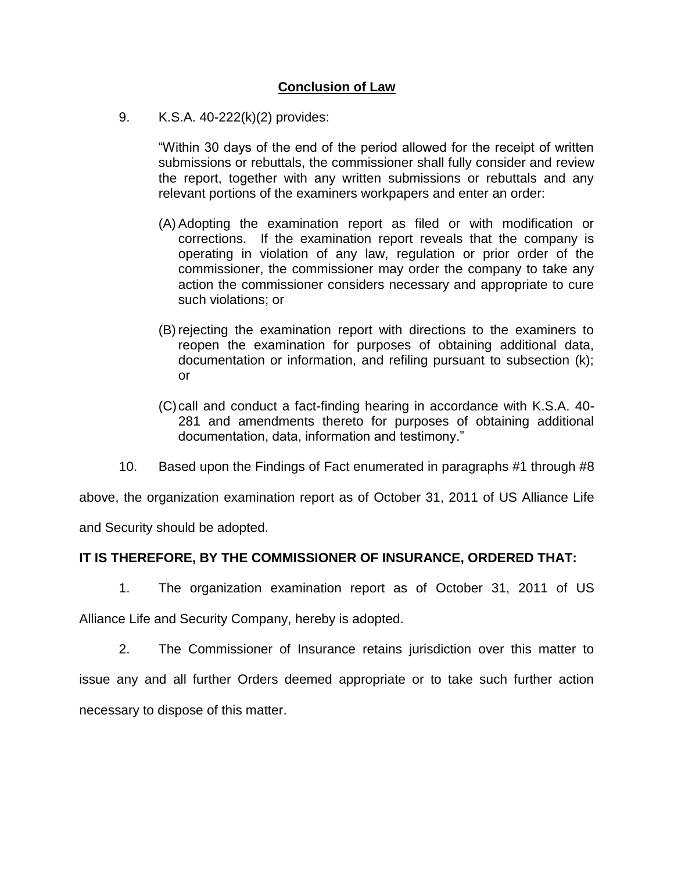# **Conclusion of Law**

9. K.S.A. 40-222(k)(2) provides:

"Within 30 days of the end of the period allowed for the receipt of written submissions or rebuttals, the commissioner shall fully consider and review the report, together with any written submissions or rebuttals and any relevant portions of the examiners workpapers and enter an order:

- (A) Adopting the examination report as filed or with modification or corrections. If the examination report reveals that the company is operating in violation of any law, regulation or prior order of the commissioner, the commissioner may order the company to take any action the commissioner considers necessary and appropriate to cure such violations; or
- (B) rejecting the examination report with directions to the examiners to reopen the examination for purposes of obtaining additional data, documentation or information, and refiling pursuant to subsection (k); or
- (C)call and conduct a fact-finding hearing in accordance with K.S.A. 40- 281 and amendments thereto for purposes of obtaining additional documentation, data, information and testimony."
- 10. Based upon the Findings of Fact enumerated in paragraphs #1 through #8

above, the organization examination report as of October 31, 2011 of US Alliance Life

and Security should be adopted.

# **IT IS THEREFORE, BY THE COMMISSIONER OF INSURANCE, ORDERED THAT:**

1. The organization examination report as of October 31, 2011 of US

Alliance Life and Security Company, hereby is adopted.

2. The Commissioner of Insurance retains jurisdiction over this matter to issue any and all further Orders deemed appropriate or to take such further action necessary to dispose of this matter.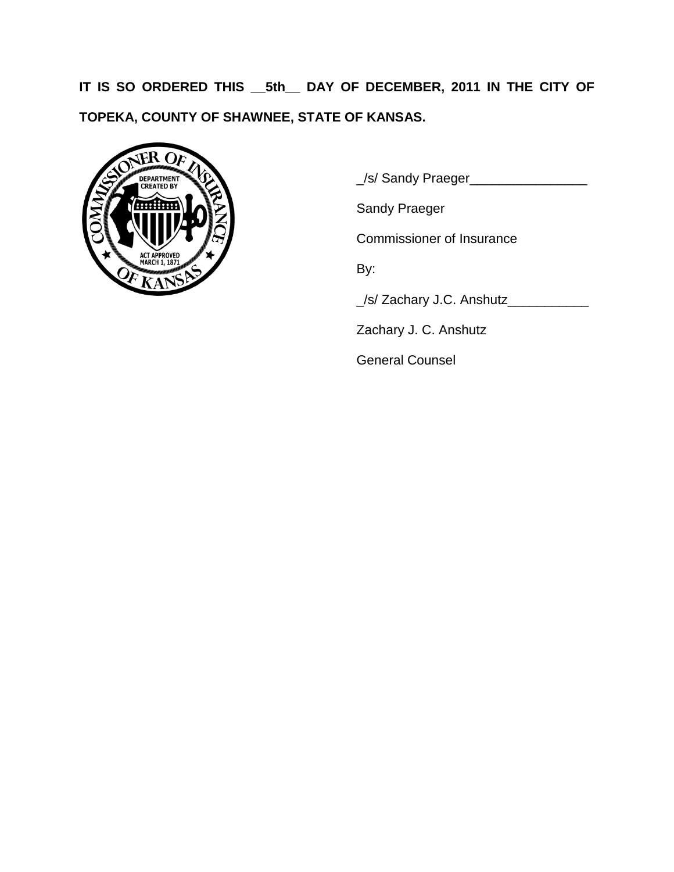**IT IS SO ORDERED THIS \_\_5th\_\_ DAY OF DECEMBER, 2011 IN THE CITY OF TOPEKA, COUNTY OF SHAWNEE, STATE OF KANSAS.**



\_/s/ Sandy Praeger\_\_\_\_\_\_\_\_\_\_\_\_\_\_\_\_

Sandy Praeger

Commissioner of Insurance

By:

\_/s/ Zachary J.C. Anshutz\_\_\_\_\_\_\_\_\_\_\_

Zachary J. C. Anshutz

General Counsel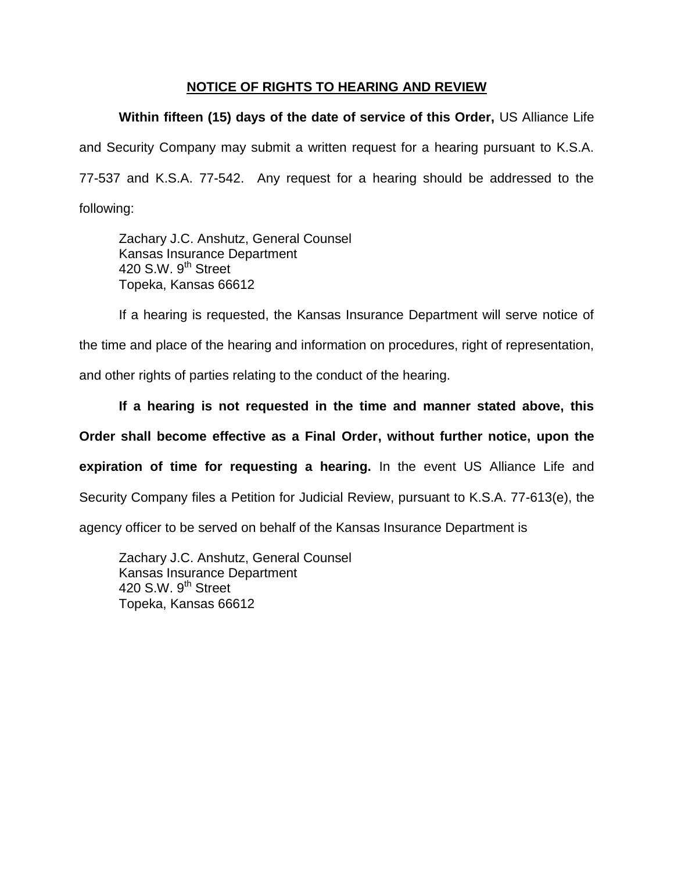# **NOTICE OF RIGHTS TO HEARING AND REVIEW**

**Within fifteen (15) days of the date of service of this Order,** US Alliance Life and Security Company may submit a written request for a hearing pursuant to K.S.A. 77-537 and K.S.A. 77-542. Any request for a hearing should be addressed to the following:

Zachary J.C. Anshutz, General Counsel Kansas Insurance Department 420 S.W. 9<sup>th</sup> Street Topeka, Kansas 66612

If a hearing is requested, the Kansas Insurance Department will serve notice of the time and place of the hearing and information on procedures, right of representation, and other rights of parties relating to the conduct of the hearing.

**If a hearing is not requested in the time and manner stated above, this Order shall become effective as a Final Order, without further notice, upon the expiration of time for requesting a hearing.** In the event US Alliance Life and Security Company files a Petition for Judicial Review, pursuant to K.S.A. 77-613(e), the agency officer to be served on behalf of the Kansas Insurance Department is

Zachary J.C. Anshutz, General Counsel Kansas Insurance Department 420 S.W.  $9<sup>th</sup>$  Street Topeka, Kansas 66612